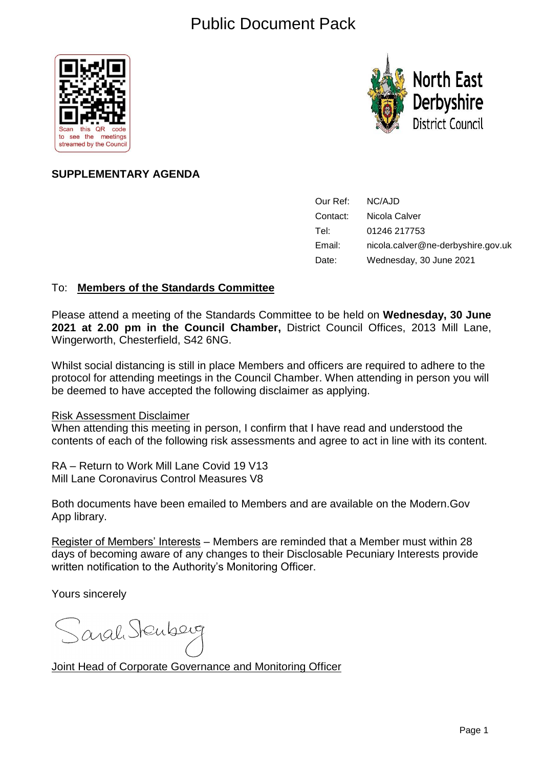# Public Document Pack





# **SUPPLEMENTARY AGENDA**

| Our Ref: | NC/AJD                             |
|----------|------------------------------------|
| Contact: | Nicola Calver                      |
| Tel:     | 01246 217753                       |
| Email:   | nicola.calver@ne-derbyshire.gov.uk |
| Date:    | Wednesday, 30 June 2021            |

### To: **Members of the Standards Committee**

Please attend a meeting of the Standards Committee to be held on **Wednesday, 30 June 2021 at 2.00 pm in the Council Chamber,** District Council Offices, 2013 Mill Lane, Wingerworth, Chesterfield, S42 6NG.

Whilst social distancing is still in place Members and officers are required to adhere to the protocol for attending meetings in the Council Chamber. When attending in person you will be deemed to have accepted the following disclaimer as applying.

#### Risk Assessment Disclaimer

When attending this meeting in person, I confirm that I have read and understood the contents of each of the following risk assessments and agree to act in line with its content.

RA – Return to Work Mill Lane Covid 19 V13 Mill Lane Coronavirus Control Measures V8

Both documents have been emailed to Members and are available on the Modern.Gov App library.

Register of Members' Interests – Members are reminded that a Member must within 28 days of becoming aware of any changes to their Disclosable Pecuniary Interests provide written notification to the Authority's Monitoring Officer.

Yours sincerely

Sarah Stenberg

Joint Head of Corporate Governance and Monitoring Officer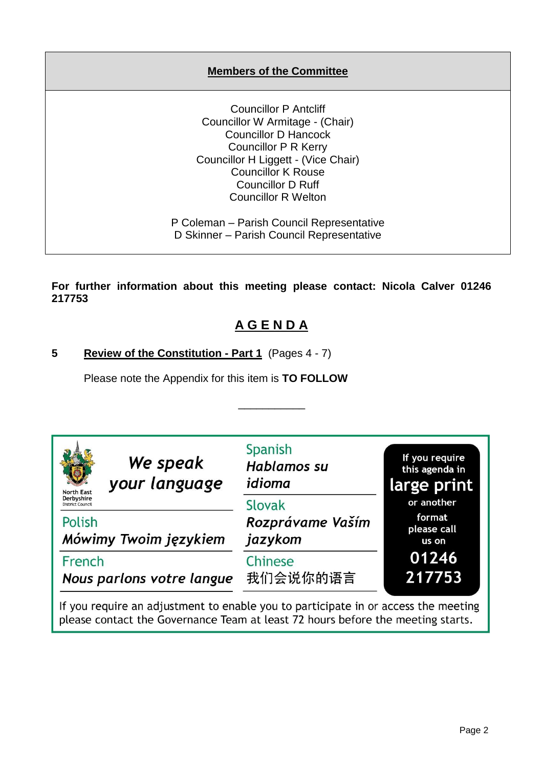## **Members of the Committee**

Councillor P Antcliff Councillor W Armitage - (Chair) Councillor D Hancock Councillor P R Kerry Councillor H Liggett - (Vice Chair) Councillor K Rouse Councillor D Ruff Councillor R Welton

P Coleman – Parish Council Representative D Skinner – Parish Council Representative

**For further information about this meeting please contact: Nicola Calver 01246 217753**

# **A G E N D A**

\_\_\_\_\_\_\_\_\_\_\_

# **5 Review of the Constitution - Part 1** (Pages 4 - 7)

Please note the Appendix for this item is **TO FOLLOW**

| We speak<br>your language<br><b>North East</b><br><b>Derbyshire</b><br><b>District Council</b> | Spanish<br><b>Hablamos su</b><br>idioma<br>Slovak | If you require<br>this agenda in<br>large print<br>or another |
|------------------------------------------------------------------------------------------------|---------------------------------------------------|---------------------------------------------------------------|
| Polish<br>Mówimy Twoim językiem                                                                | Rozprávame Vaším<br>jazykom                       | format<br>please call<br>us on                                |
| French<br>Nous parlons votre langue                                                            | Chinese<br>我们会说你的语言                               | 01246<br>217753                                               |

If you require an adjustment to enable you to participate in or access the meeting please contact the Governance Team at least 72 hours before the meeting starts.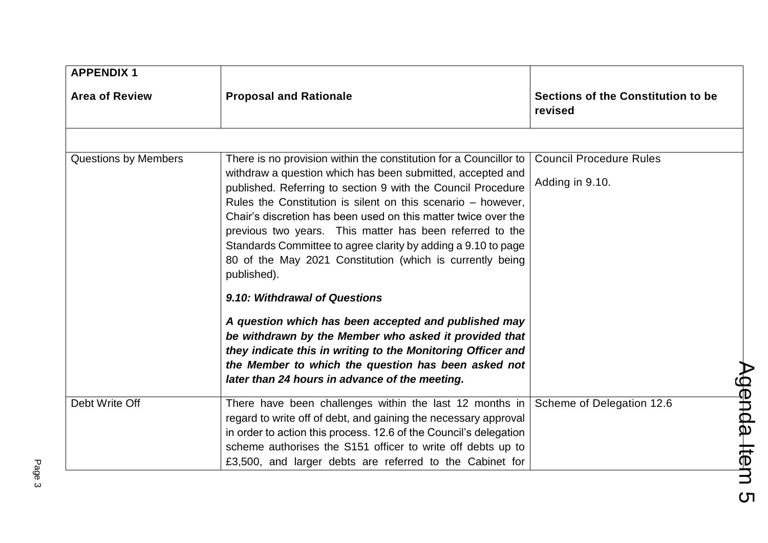| <b>Area of Review</b>       | <b>Proposal and Rationale</b>                                                                                                                                                                                                                                                                                                           | Sections of the Constitution to be<br>revised     |
|-----------------------------|-----------------------------------------------------------------------------------------------------------------------------------------------------------------------------------------------------------------------------------------------------------------------------------------------------------------------------------------|---------------------------------------------------|
| <b>Questions by Members</b> | There is no provision within the constitution for a Councillor to<br>withdraw a question which has been submitted, accepted and<br>published. Referring to section 9 with the Council Procedure                                                                                                                                         | <b>Council Procedure Rules</b><br>Adding in 9.10. |
|                             | Rules the Constitution is silent on this scenario – however,<br>Chair's discretion has been used on this matter twice over the<br>previous two years. This matter has been referred to the<br>Standards Committee to agree clarity by adding a 9.10 to page<br>80 of the May 2021 Constitution (which is currently being<br>published). |                                                   |
|                             | 9.10: Withdrawal of Questions<br>A question which has been accepted and published may<br>be withdrawn by the Member who asked it provided that<br>they indicate this in writing to the Monitoring Officer and<br>the Member to which the question has been asked not<br>later than 24 hours in advance of the meeting.                  |                                                   |
| Debt Write Off              | There have been challenges within the last 12 months in<br>regard to write off of debt, and gaining the necessary approval<br>in order to action this process. 12.6 of the Council's delegation<br>scheme authorises the S151 officer to write off debts up to<br>£3,500, and larger debts are referred to the Cabinet for              | Scheme of Delegation 12.6                         |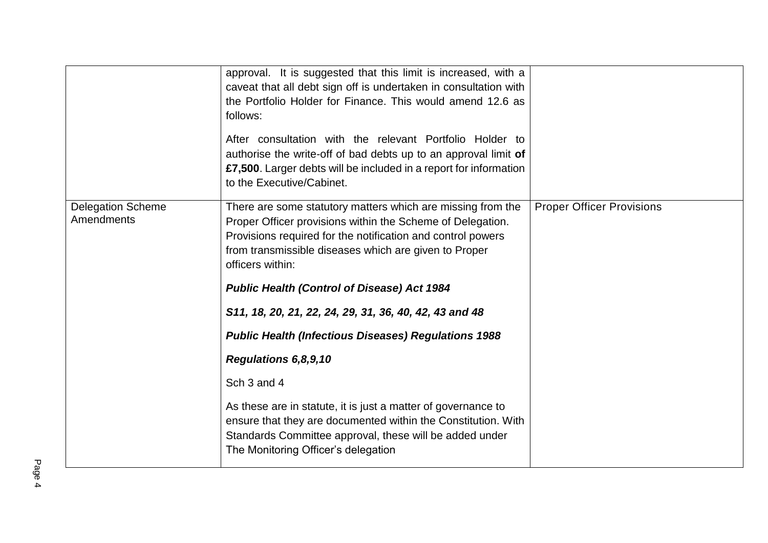|                                        | approval. It is suggested that this limit is increased, with a<br>caveat that all debt sign off is undertaken in consultation with<br>the Portfolio Holder for Finance. This would amend 12.6 as<br>follows:<br>After consultation with the relevant Portfolio Holder to<br>authorise the write-off of bad debts up to an approval limit of<br>£7,500. Larger debts will be included in a report for information<br>to the Executive/Cabinet. |                                  |
|----------------------------------------|-----------------------------------------------------------------------------------------------------------------------------------------------------------------------------------------------------------------------------------------------------------------------------------------------------------------------------------------------------------------------------------------------------------------------------------------------|----------------------------------|
| <b>Delegation Scheme</b><br>Amendments | There are some statutory matters which are missing from the<br>Proper Officer provisions within the Scheme of Delegation.<br>Provisions required for the notification and control powers<br>from transmissible diseases which are given to Proper<br>officers within:                                                                                                                                                                         | <b>Proper Officer Provisions</b> |
|                                        | <b>Public Health (Control of Disease) Act 1984</b>                                                                                                                                                                                                                                                                                                                                                                                            |                                  |
|                                        | S11, 18, 20, 21, 22, 24, 29, 31, 36, 40, 42, 43 and 48                                                                                                                                                                                                                                                                                                                                                                                        |                                  |
|                                        | <b>Public Health (Infectious Diseases) Regulations 1988</b>                                                                                                                                                                                                                                                                                                                                                                                   |                                  |
|                                        | Regulations 6,8,9,10                                                                                                                                                                                                                                                                                                                                                                                                                          |                                  |
|                                        | Sch 3 and 4                                                                                                                                                                                                                                                                                                                                                                                                                                   |                                  |
|                                        | As these are in statute, it is just a matter of governance to<br>ensure that they are documented within the Constitution. With<br>Standards Committee approval, these will be added under                                                                                                                                                                                                                                                     |                                  |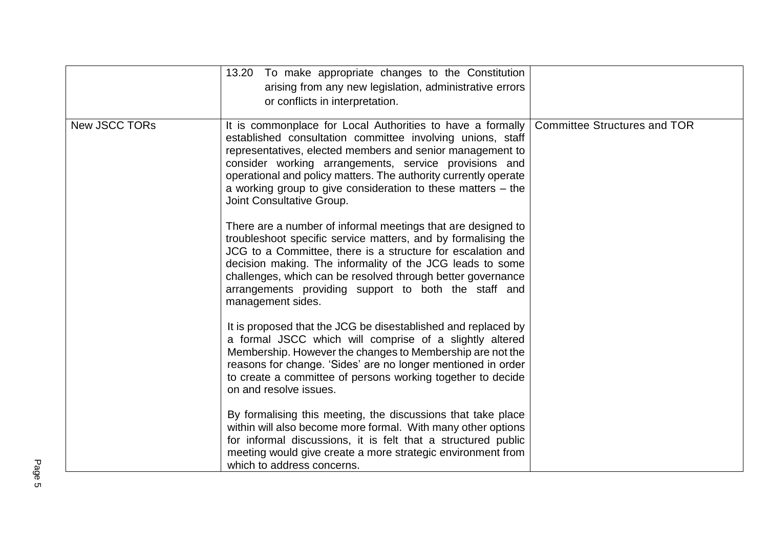|               | To make appropriate changes to the Constitution<br>13.20<br>arising from any new legislation, administrative errors<br>or conflicts in interpretation.                                                                                                                                                                                                                                                           |                                     |
|---------------|------------------------------------------------------------------------------------------------------------------------------------------------------------------------------------------------------------------------------------------------------------------------------------------------------------------------------------------------------------------------------------------------------------------|-------------------------------------|
| New JSCC TORs | It is commonplace for Local Authorities to have a formally<br>established consultation committee involving unions, staff<br>representatives, elected members and senior management to<br>consider working arrangements, service provisions and<br>operational and policy matters. The authority currently operate<br>a working group to give consideration to these matters $-$ the<br>Joint Consultative Group. | <b>Committee Structures and TOR</b> |
|               | There are a number of informal meetings that are designed to<br>troubleshoot specific service matters, and by formalising the<br>JCG to a Committee, there is a structure for escalation and<br>decision making. The informality of the JCG leads to some<br>challenges, which can be resolved through better governance<br>arrangements providing support to both the staff and<br>management sides.            |                                     |
|               | It is proposed that the JCG be disestablished and replaced by<br>a formal JSCC which will comprise of a slightly altered<br>Membership. However the changes to Membership are not the<br>reasons for change. 'Sides' are no longer mentioned in order<br>to create a committee of persons working together to decide<br>on and resolve issues.                                                                   |                                     |
|               | By formalising this meeting, the discussions that take place<br>within will also become more formal. With many other options<br>for informal discussions, it is felt that a structured public<br>meeting would give create a more strategic environment from<br>which to address concerns.                                                                                                                       |                                     |